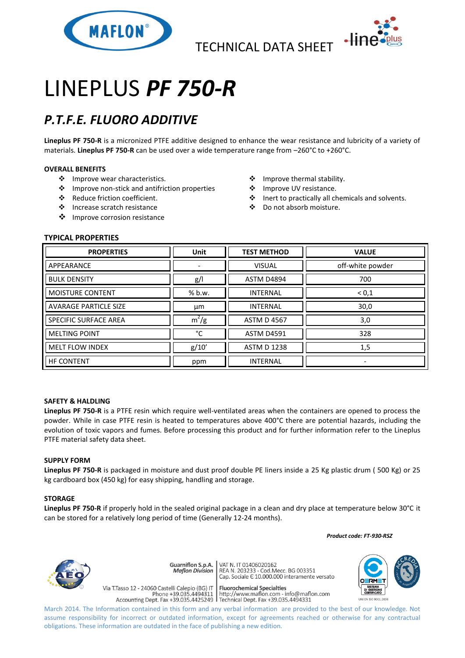

TECHNICAL DATA SHEET



# LINEPLUS *PF 750-R*

## *P.T.F.E. FLUORO ADDITIVE*

**Lineplus PF 750-R** is a micronized PTFE additive designed to enhance the wear resistance and lubricity of a variety of materials. **Lineplus PF 750-R** can be used over a wide temperature range from –260°C to +260°C.

#### **OVERALL BENEFITS**

- ❖ Improve wear characteristics.
- Improve non-stick and antifriction properties
- Reduce friction coefficient.
- Increase scratch resistance
- ❖ Improve corrosion resistance
- Improve thermal stability.
- ❖ Improve UV resistance.
- Inert to practically all chemicals and solvents.
- Do not absorb moisture.

#### **TYPICAL PROPERTIES**

| <b>PROPERTIES</b>            | <b>Unit</b> | <b>TEST METHOD</b> | <b>VALUE</b>     |
|------------------------------|-------------|--------------------|------------------|
| APPEARANCE                   |             | <b>VISUAL</b>      | off-white powder |
| <b>BULK DENSITY</b>          | g/          | <b>ASTM D4894</b>  | 700              |
| <b>MOISTURE CONTENT</b>      | % b.w.      | <b>INTERNAL</b>    | ${}^{<}0,1$      |
| <b>AVARAGE PARTICLE SIZE</b> | μm          | <b>INTERNAL</b>    | 30,0             |
| SPECIFIC SURFACE AREA        | $m^2/g$     | <b>ASTM D 4567</b> | 3,0              |
| <b>MELTING POINT</b>         | °C          | <b>ASTM D4591</b>  | 328              |
| <b>MELT FLOW INDEX</b>       | g/10'       | <b>ASTM D 1238</b> | 1,5              |
| <b>HF CONTENT</b>            | ppm         | <b>INTERNAL</b>    |                  |

#### **SAFETY & HALDLING**

**Lineplus PF 750-R** is a PTFE resin which require well-ventilated areas when the containers are opened to process the powder. While in case PTFE resin is heated to temperatures above 400°C there are potential hazards, including the evolution of toxic vapors and fumes. Before processing this product and for further information refer to the Lineplus PTFE material safety data sheet.

#### **SUPPLY FORM**

**Lineplus PF 750-R** is packaged in moisture and dust proof double PE liners inside a 25 Kg plastic drum ( 500 Kg) or 25 kg cardboard box (450 kg) for easy shipping, handling and storage.

#### **STORAGE**

**Lineplus PF 750-R** if properly hold in the sealed original package in a clean and dry place at temperature below 30°C it can be stored for a relatively long period of time (Generally 12-24 months).

 *Product code: FT-930-RSZ*



**Guarniflon S.p.A. Maflon Division** 

Via T.Tasso 12 - 24060 Castelli Calepio (BG) IT

VAT N. IT 01406020162<br>REA N. 203233 - Cod.Mecc. BG 003351<br>Cap. Sociale E 10.000.000 interamente versato

**Fluorochemical Specialties** riasso 12 - 24060 Castelli Calepio (BG) i **confinite different dispectantes**<br>Phone +39.035.4494311 | http://www.maflon.com - info@maflon.com<br>Accounting Dept. Fax +39.035.4425249 | Technical Dept. Fax +39.035.4494331



March 2014. The Information contained in this form and any verbal information are provided to the best of our knowledge. Not assume responsibility for incorrect or outdated information, except for agreements reached or otherwise for any contractual obligations. These information are outdated in the face of publishing a new edition.